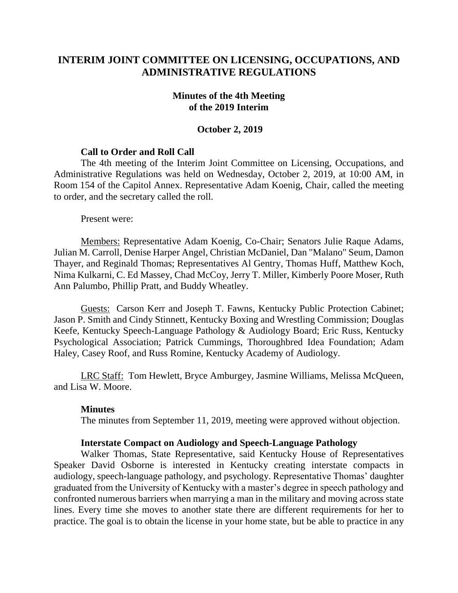# **INTERIM JOINT COMMITTEE ON LICENSING, OCCUPATIONS, AND ADMINISTRATIVE REGULATIONS**

#### **Minutes of the 4th Meeting of the 2019 Interim**

#### **October 2, 2019**

## **Call to Order and Roll Call**

The 4th meeting of the Interim Joint Committee on Licensing, Occupations, and Administrative Regulations was held on Wednesday, October 2, 2019, at 10:00 AM, in Room 154 of the Capitol Annex. Representative Adam Koenig, Chair, called the meeting to order, and the secretary called the roll.

Present were:

Members: Representative Adam Koenig, Co-Chair; Senators Julie Raque Adams, Julian M. Carroll, Denise Harper Angel, Christian McDaniel, Dan "Malano" Seum, Damon Thayer, and Reginald Thomas; Representatives Al Gentry, Thomas Huff, Matthew Koch, Nima Kulkarni, C. Ed Massey, Chad McCoy, Jerry T. Miller, Kimberly Poore Moser, Ruth Ann Palumbo, Phillip Pratt, and Buddy Wheatley.

Guests: Carson Kerr and Joseph T. Fawns, Kentucky Public Protection Cabinet; Jason P. Smith and Cindy Stinnett, Kentucky Boxing and Wrestling Commission; Douglas Keefe, Kentucky Speech-Language Pathology & Audiology Board; Eric Russ, Kentucky Psychological Association; Patrick Cummings, Thoroughbred Idea Foundation; Adam Haley, Casey Roof, and Russ Romine, Kentucky Academy of Audiology.

LRC Staff: Tom Hewlett, Bryce Amburgey, Jasmine Williams, Melissa McQueen, and Lisa W. Moore.

#### **Minutes**

The minutes from September 11, 2019, meeting were approved without objection.

#### **Interstate Compact on Audiology and Speech-Language Pathology**

Walker Thomas, State Representative, said Kentucky House of Representatives Speaker David Osborne is interested in Kentucky creating interstate compacts in audiology, speech-language pathology, and psychology. Representative Thomas' daughter graduated from the University of Kentucky with a master's degree in speech pathology and confronted numerous barriers when marrying a man in the military and moving across state lines. Every time she moves to another state there are different requirements for her to practice. The goal is to obtain the license in your home state, but be able to practice in any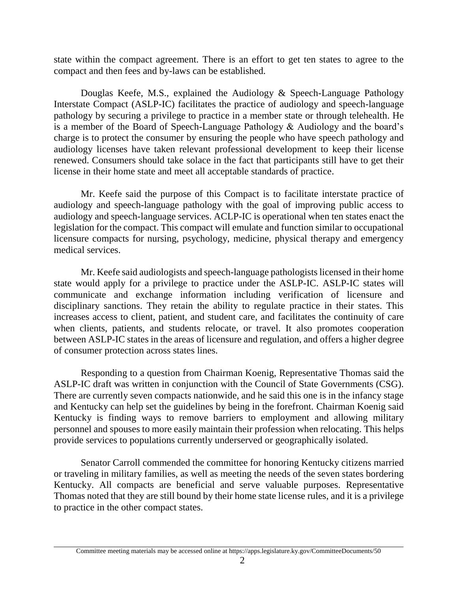state within the compact agreement. There is an effort to get ten states to agree to the compact and then fees and by-laws can be established.

Douglas Keefe, M.S., explained the Audiology & Speech-Language Pathology Interstate Compact (ASLP-IC) facilitates the practice of audiology and speech-language pathology by securing a privilege to practice in a member state or through telehealth. He is a member of the Board of Speech-Language Pathology  $\&$  Audiology and the board's charge is to protect the consumer by ensuring the people who have speech pathology and audiology licenses have taken relevant professional development to keep their license renewed. Consumers should take solace in the fact that participants still have to get their license in their home state and meet all acceptable standards of practice.

Mr. Keefe said the purpose of this Compact is to facilitate interstate practice of audiology and speech-language pathology with the goal of improving public access to audiology and speech-language services. ACLP-IC is operational when ten states enact the legislation for the compact. This compact will emulate and function similar to occupational licensure compacts for nursing, psychology, medicine, physical therapy and emergency medical services.

Mr. Keefe said audiologists and speech-language pathologists licensed in their home state would apply for a privilege to practice under the ASLP-IC. ASLP-IC states will communicate and exchange information including verification of licensure and disciplinary sanctions. They retain the ability to regulate practice in their states. This increases access to client, patient, and student care, and facilitates the continuity of care when clients, patients, and students relocate, or travel. It also promotes cooperation between ASLP-IC states in the areas of licensure and regulation, and offers a higher degree of consumer protection across states lines.

Responding to a question from Chairman Koenig, Representative Thomas said the ASLP-IC draft was written in conjunction with the Council of State Governments (CSG). There are currently seven compacts nationwide, and he said this one is in the infancy stage and Kentucky can help set the guidelines by being in the forefront. Chairman Koenig said Kentucky is finding ways to remove barriers to employment and allowing military personnel and spouses to more easily maintain their profession when relocating. This helps provide services to populations currently underserved or geographically isolated.

Senator Carroll commended the committee for honoring Kentucky citizens married or traveling in military families, as well as meeting the needs of the seven states bordering Kentucky. All compacts are beneficial and serve valuable purposes. Representative Thomas noted that they are still bound by their home state license rules, and it is a privilege to practice in the other compact states.

Committee meeting materials may be accessed online at https://apps.legislature.ky.gov/CommitteeDocuments/50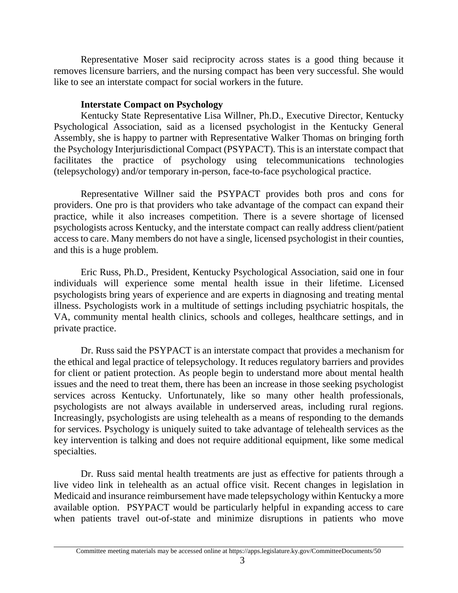Representative Moser said reciprocity across states is a good thing because it removes licensure barriers, and the nursing compact has been very successful. She would like to see an interstate compact for social workers in the future.

# **Interstate Compact on Psychology**

Kentucky State Representative Lisa Willner, Ph.D., Executive Director, Kentucky Psychological Association, said as a licensed psychologist in the Kentucky General Assembly, she is happy to partner with Representative Walker Thomas on bringing forth the Psychology Interjurisdictional Compact (PSYPACT). This is an interstate compact that facilitates the practice of psychology using telecommunications technologies (telepsychology) and/or temporary in-person, face-to-face psychological practice.

Representative Willner said the PSYPACT provides both pros and cons for providers. One pro is that providers who take advantage of the compact can expand their practice, while it also increases competition. There is a severe shortage of licensed psychologists across Kentucky, and the interstate compact can really address client/patient access to care. Many members do not have a single, licensed psychologist in their counties, and this is a huge problem.

Eric Russ, Ph.D., President, Kentucky Psychological Association, said one in four individuals will experience some mental health issue in their lifetime. Licensed psychologists bring years of experience and are experts in diagnosing and treating mental illness. Psychologists work in a multitude of settings including psychiatric hospitals, the VA, community mental health clinics, schools and colleges, healthcare settings, and in private practice.

Dr. Russ said the PSYPACT is an interstate compact that provides a mechanism for the ethical and legal practice of telepsychology. It reduces regulatory barriers and provides for client or patient protection. As people begin to understand more about mental health issues and the need to treat them, there has been an increase in those seeking psychologist services across Kentucky. Unfortunately, like so many other health professionals, psychologists are not always available in underserved areas, including rural regions. Increasingly, psychologists are using telehealth as a means of responding to the demands for services. Psychology is uniquely suited to take advantage of telehealth services as the key intervention is talking and does not require additional equipment, like some medical specialties.

Dr. Russ said mental health treatments are just as effective for patients through a live video link in telehealth as an actual office visit. Recent changes in legislation in Medicaid and insurance reimbursement have made telepsychology within Kentucky a more available option. PSYPACT would be particularly helpful in expanding access to care when patients travel out-of-state and minimize disruptions in patients who move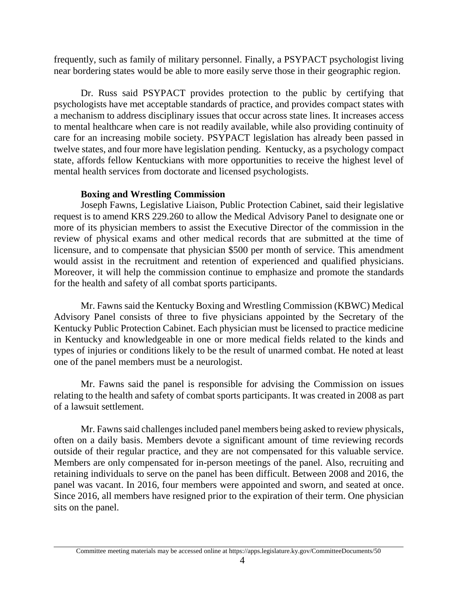frequently, such as family of military personnel. Finally, a PSYPACT psychologist living near bordering states would be able to more easily serve those in their geographic region.

Dr. Russ said PSYPACT provides protection to the public by certifying that psychologists have met acceptable standards of practice, and provides compact states with a mechanism to address disciplinary issues that occur across state lines. It increases access to mental healthcare when care is not readily available, while also providing continuity of care for an increasing mobile society. PSYPACT legislation has already been passed in twelve states, and four more have legislation pending. Kentucky, as a psychology compact state, affords fellow Kentuckians with more opportunities to receive the highest level of mental health services from doctorate and licensed psychologists.

# **Boxing and Wrestling Commission**

Joseph Fawns, Legislative Liaison, Public Protection Cabinet, said their legislative request is to amend KRS 229.260 to allow the Medical Advisory Panel to designate one or more of its physician members to assist the Executive Director of the commission in the review of physical exams and other medical records that are submitted at the time of licensure, and to compensate that physician \$500 per month of service. This amendment would assist in the recruitment and retention of experienced and qualified physicians. Moreover, it will help the commission continue to emphasize and promote the standards for the health and safety of all combat sports participants.

Mr. Fawns said the Kentucky Boxing and Wrestling Commission (KBWC) Medical Advisory Panel consists of three to five physicians appointed by the Secretary of the Kentucky Public Protection Cabinet. Each physician must be licensed to practice medicine in Kentucky and knowledgeable in one or more medical fields related to the kinds and types of injuries or conditions likely to be the result of unarmed combat. He noted at least one of the panel members must be a neurologist.

Mr. Fawns said the panel is responsible for advising the Commission on issues relating to the health and safety of combat sports participants. It was created in 2008 as part of a lawsuit settlement.

Mr. Fawns said challenges included panel members being asked to review physicals, often on a daily basis. Members devote a significant amount of time reviewing records outside of their regular practice, and they are not compensated for this valuable service. Members are only compensated for in-person meetings of the panel. Also, recruiting and retaining individuals to serve on the panel has been difficult. Between 2008 and 2016, the panel was vacant. In 2016, four members were appointed and sworn, and seated at once. Since 2016, all members have resigned prior to the expiration of their term. One physician sits on the panel.

Committee meeting materials may be accessed online at https://apps.legislature.ky.gov/CommitteeDocuments/50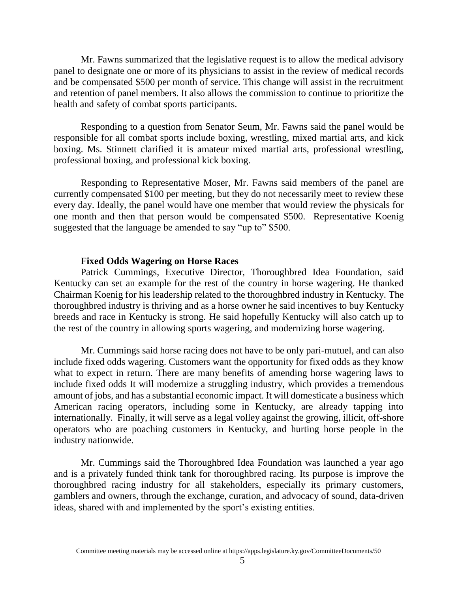Mr. Fawns summarized that the legislative request is to allow the medical advisory panel to designate one or more of its physicians to assist in the review of medical records and be compensated \$500 per month of service. This change will assist in the recruitment and retention of panel members. It also allows the commission to continue to prioritize the health and safety of combat sports participants.

Responding to a question from Senator Seum, Mr. Fawns said the panel would be responsible for all combat sports include boxing, wrestling, mixed martial arts, and kick boxing. Ms. Stinnett clarified it is amateur mixed martial arts, professional wrestling, professional boxing, and professional kick boxing.

Responding to Representative Moser, Mr. Fawns said members of the panel are currently compensated \$100 per meeting, but they do not necessarily meet to review these every day. Ideally, the panel would have one member that would review the physicals for one month and then that person would be compensated \$500. Representative Koenig suggested that the language be amended to say "up to" \$500.

## **Fixed Odds Wagering on Horse Races**

Patrick Cummings, Executive Director, Thoroughbred Idea Foundation, said Kentucky can set an example for the rest of the country in horse wagering. He thanked Chairman Koenig for his leadership related to the thoroughbred industry in Kentucky. The thoroughbred industry is thriving and as a horse owner he said incentives to buy Kentucky breeds and race in Kentucky is strong. He said hopefully Kentucky will also catch up to the rest of the country in allowing sports wagering, and modernizing horse wagering.

Mr. Cummings said horse racing does not have to be only pari-mutuel, and can also include fixed odds wagering. Customers want the opportunity for fixed odds as they know what to expect in return. There are many benefits of amending horse wagering laws to include fixed odds It will modernize a struggling industry, which provides a tremendous amount of jobs, and has a substantial economic impact. It will domesticate a business which American racing operators, including some in Kentucky, are already tapping into internationally. Finally, it will serve as a legal volley against the growing, illicit, off-shore operators who are poaching customers in Kentucky, and hurting horse people in the industry nationwide.

Mr. Cummings said the Thoroughbred Idea Foundation was launched a year ago and is a privately funded think tank for thoroughbred racing. Its purpose is improve the thoroughbred racing industry for all stakeholders, especially its primary customers, gamblers and owners, through the exchange, curation, and advocacy of sound, data-driven ideas, shared with and implemented by the sport's existing entities.

Committee meeting materials may be accessed online at https://apps.legislature.ky.gov/CommitteeDocuments/50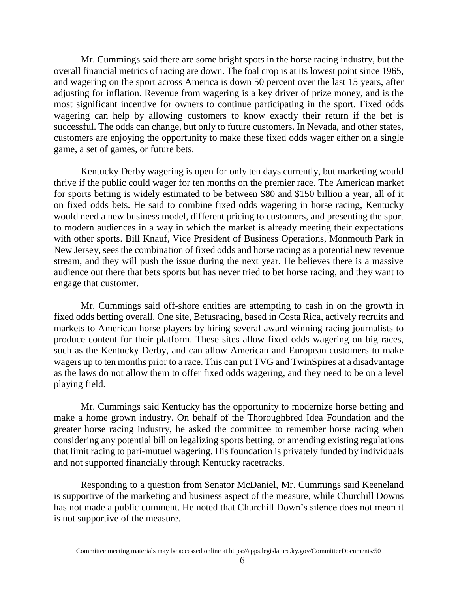Mr. Cummings said there are some bright spots in the horse racing industry, but the overall financial metrics of racing are down. The foal crop is at its lowest point since 1965, and wagering on the sport across America is down 50 percent over the last 15 years, after adjusting for inflation. Revenue from wagering is a key driver of prize money, and is the most significant incentive for owners to continue participating in the sport. Fixed odds wagering can help by allowing customers to know exactly their return if the bet is successful. The odds can change, but only to future customers. In Nevada, and other states, customers are enjoying the opportunity to make these fixed odds wager either on a single game, a set of games, or future bets.

Kentucky Derby wagering is open for only ten days currently, but marketing would thrive if the public could wager for ten months on the premier race. The American market for sports betting is widely estimated to be between \$80 and \$150 billion a year, all of it on fixed odds bets. He said to combine fixed odds wagering in horse racing, Kentucky would need a new business model, different pricing to customers, and presenting the sport to modern audiences in a way in which the market is already meeting their expectations with other sports. Bill Knauf, Vice President of Business Operations, Monmouth Park in New Jersey, sees the combination of fixed odds and horse racing as a potential new revenue stream, and they will push the issue during the next year. He believes there is a massive audience out there that bets sports but has never tried to bet horse racing, and they want to engage that customer.

Mr. Cummings said off-shore entities are attempting to cash in on the growth in fixed odds betting overall. One site, Betusracing, based in Costa Rica, actively recruits and markets to American horse players by hiring several award winning racing journalists to produce content for their platform. These sites allow fixed odds wagering on big races, such as the Kentucky Derby, and can allow American and European customers to make wagers up to ten months prior to a race. This can put TVG and TwinSpires at a disadvantage as the laws do not allow them to offer fixed odds wagering, and they need to be on a level playing field.

Mr. Cummings said Kentucky has the opportunity to modernize horse betting and make a home grown industry. On behalf of the Thoroughbred Idea Foundation and the greater horse racing industry, he asked the committee to remember horse racing when considering any potential bill on legalizing sports betting, or amending existing regulations that limit racing to pari-mutuel wagering. His foundation is privately funded by individuals and not supported financially through Kentucky racetracks.

Responding to a question from Senator McDaniel, Mr. Cummings said Keeneland is supportive of the marketing and business aspect of the measure, while Churchill Downs has not made a public comment. He noted that Churchill Down's silence does not mean it is not supportive of the measure.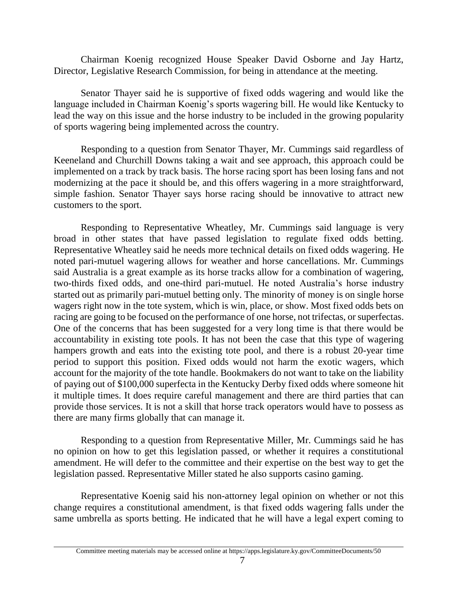Chairman Koenig recognized House Speaker David Osborne and Jay Hartz, Director, Legislative Research Commission, for being in attendance at the meeting.

Senator Thayer said he is supportive of fixed odds wagering and would like the language included in Chairman Koenig's sports wagering bill. He would like Kentucky to lead the way on this issue and the horse industry to be included in the growing popularity of sports wagering being implemented across the country.

Responding to a question from Senator Thayer, Mr. Cummings said regardless of Keeneland and Churchill Downs taking a wait and see approach, this approach could be implemented on a track by track basis. The horse racing sport has been losing fans and not modernizing at the pace it should be, and this offers wagering in a more straightforward, simple fashion. Senator Thayer says horse racing should be innovative to attract new customers to the sport.

Responding to Representative Wheatley, Mr. Cummings said language is very broad in other states that have passed legislation to regulate fixed odds betting. Representative Wheatley said he needs more technical details on fixed odds wagering. He noted pari-mutuel wagering allows for weather and horse cancellations. Mr. Cummings said Australia is a great example as its horse tracks allow for a combination of wagering, two-thirds fixed odds, and one-third pari-mutuel. He noted Australia's horse industry started out as primarily pari-mutuel betting only. The minority of money is on single horse wagers right now in the tote system, which is win, place, or show. Most fixed odds bets on racing are going to be focused on the performance of one horse, not trifectas, or superfectas. One of the concerns that has been suggested for a very long time is that there would be accountability in existing tote pools. It has not been the case that this type of wagering hampers growth and eats into the existing tote pool, and there is a robust 20-year time period to support this position. Fixed odds would not harm the exotic wagers, which account for the majority of the tote handle. Bookmakers do not want to take on the liability of paying out of \$100,000 superfecta in the Kentucky Derby fixed odds where someone hit it multiple times. It does require careful management and there are third parties that can provide those services. It is not a skill that horse track operators would have to possess as there are many firms globally that can manage it.

Responding to a question from Representative Miller, Mr. Cummings said he has no opinion on how to get this legislation passed, or whether it requires a constitutional amendment. He will defer to the committee and their expertise on the best way to get the legislation passed. Representative Miller stated he also supports casino gaming.

Representative Koenig said his non-attorney legal opinion on whether or not this change requires a constitutional amendment, is that fixed odds wagering falls under the same umbrella as sports betting. He indicated that he will have a legal expert coming to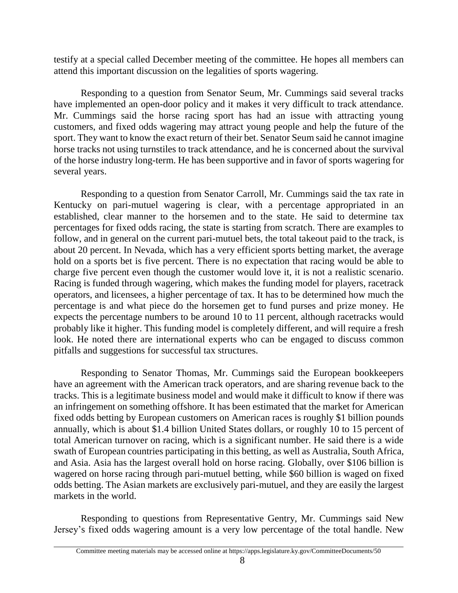testify at a special called December meeting of the committee. He hopes all members can attend this important discussion on the legalities of sports wagering.

Responding to a question from Senator Seum, Mr. Cummings said several tracks have implemented an open-door policy and it makes it very difficult to track attendance. Mr. Cummings said the horse racing sport has had an issue with attracting young customers, and fixed odds wagering may attract young people and help the future of the sport. They want to know the exact return of their bet. Senator Seum said he cannot imagine horse tracks not using turnstiles to track attendance, and he is concerned about the survival of the horse industry long-term. He has been supportive and in favor of sports wagering for several years.

Responding to a question from Senator Carroll, Mr. Cummings said the tax rate in Kentucky on pari-mutuel wagering is clear, with a percentage appropriated in an established, clear manner to the horsemen and to the state. He said to determine tax percentages for fixed odds racing, the state is starting from scratch. There are examples to follow, and in general on the current pari-mutuel bets, the total takeout paid to the track, is about 20 percent. In Nevada, which has a very efficient sports betting market, the average hold on a sports bet is five percent. There is no expectation that racing would be able to charge five percent even though the customer would love it, it is not a realistic scenario. Racing is funded through wagering, which makes the funding model for players, racetrack operators, and licensees, a higher percentage of tax. It has to be determined how much the percentage is and what piece do the horsemen get to fund purses and prize money. He expects the percentage numbers to be around 10 to 11 percent, although racetracks would probably like it higher. This funding model is completely different, and will require a fresh look. He noted there are international experts who can be engaged to discuss common pitfalls and suggestions for successful tax structures.

Responding to Senator Thomas, Mr. Cummings said the European bookkeepers have an agreement with the American track operators, and are sharing revenue back to the tracks. This is a legitimate business model and would make it difficult to know if there was an infringement on something offshore. It has been estimated that the market for American fixed odds betting by European customers on American races is roughly \$1 billion pounds annually, which is about \$1.4 billion United States dollars, or roughly 10 to 15 percent of total American turnover on racing, which is a significant number. He said there is a wide swath of European countries participating in this betting, as well as Australia, South Africa, and Asia. Asia has the largest overall hold on horse racing. Globally, over \$106 billion is wagered on horse racing through pari-mutuel betting, while \$60 billion is waged on fixed odds betting. The Asian markets are exclusively pari-mutuel, and they are easily the largest markets in the world.

Responding to questions from Representative Gentry, Mr. Cummings said New Jersey's fixed odds wagering amount is a very low percentage of the total handle. New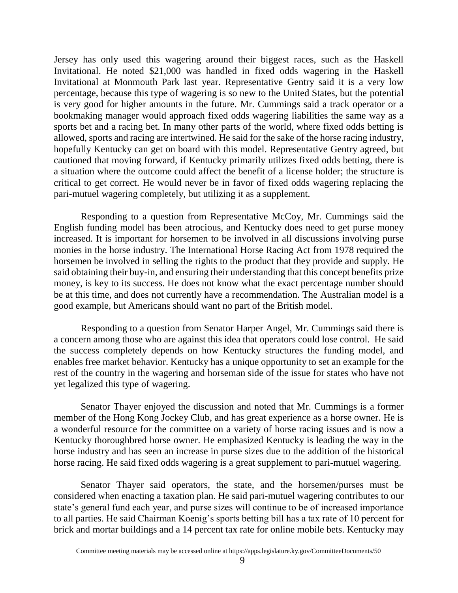Jersey has only used this wagering around their biggest races, such as the Haskell Invitational. He noted \$21,000 was handled in fixed odds wagering in the Haskell Invitational at Monmouth Park last year. Representative Gentry said it is a very low percentage, because this type of wagering is so new to the United States, but the potential is very good for higher amounts in the future. Mr. Cummings said a track operator or a bookmaking manager would approach fixed odds wagering liabilities the same way as a sports bet and a racing bet. In many other parts of the world, where fixed odds betting is allowed, sports and racing are intertwined. He said for the sake of the horse racing industry, hopefully Kentucky can get on board with this model. Representative Gentry agreed, but cautioned that moving forward, if Kentucky primarily utilizes fixed odds betting, there is a situation where the outcome could affect the benefit of a license holder; the structure is critical to get correct. He would never be in favor of fixed odds wagering replacing the pari-mutuel wagering completely, but utilizing it as a supplement.

Responding to a question from Representative McCoy, Mr. Cummings said the English funding model has been atrocious, and Kentucky does need to get purse money increased. It is important for horsemen to be involved in all discussions involving purse monies in the horse industry. The International Horse Racing Act from 1978 required the horsemen be involved in selling the rights to the product that they provide and supply. He said obtaining their buy-in, and ensuring their understanding that this concept benefits prize money, is key to its success. He does not know what the exact percentage number should be at this time, and does not currently have a recommendation. The Australian model is a good example, but Americans should want no part of the British model.

Responding to a question from Senator Harper Angel, Mr. Cummings said there is a concern among those who are against this idea that operators could lose control. He said the success completely depends on how Kentucky structures the funding model, and enables free market behavior. Kentucky has a unique opportunity to set an example for the rest of the country in the wagering and horseman side of the issue for states who have not yet legalized this type of wagering.

Senator Thayer enjoyed the discussion and noted that Mr. Cummings is a former member of the Hong Kong Jockey Club, and has great experience as a horse owner. He is a wonderful resource for the committee on a variety of horse racing issues and is now a Kentucky thoroughbred horse owner. He emphasized Kentucky is leading the way in the horse industry and has seen an increase in purse sizes due to the addition of the historical horse racing. He said fixed odds wagering is a great supplement to pari-mutuel wagering.

Senator Thayer said operators, the state, and the horsemen/purses must be considered when enacting a taxation plan. He said pari-mutuel wagering contributes to our state's general fund each year, and purse sizes will continue to be of increased importance to all parties. He said Chairman Koenig's sports betting bill has a tax rate of 10 percent for brick and mortar buildings and a 14 percent tax rate for online mobile bets. Kentucky may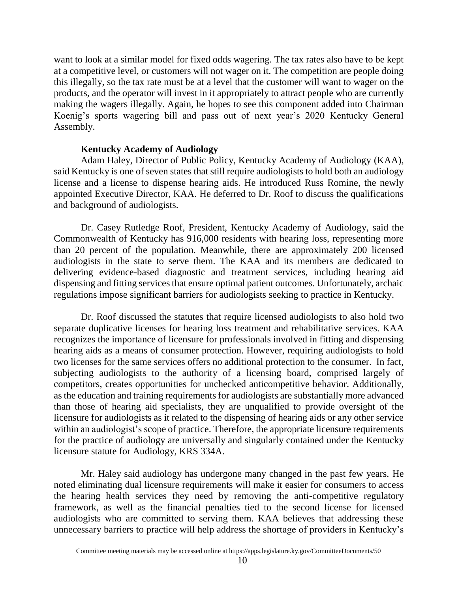want to look at a similar model for fixed odds wagering. The tax rates also have to be kept at a competitive level, or customers will not wager on it. The competition are people doing this illegally, so the tax rate must be at a level that the customer will want to wager on the products, and the operator will invest in it appropriately to attract people who are currently making the wagers illegally. Again, he hopes to see this component added into Chairman Koenig's sports wagering bill and pass out of next year's 2020 Kentucky General Assembly.

## **Kentucky Academy of Audiology**

Adam Haley, Director of Public Policy, Kentucky Academy of Audiology (KAA), said Kentucky is one of seven states that still require audiologists to hold both an audiology license and a license to dispense hearing aids. He introduced Russ Romine, the newly appointed Executive Director, KAA. He deferred to Dr. Roof to discuss the qualifications and background of audiologists.

Dr. Casey Rutledge Roof, President, Kentucky Academy of Audiology, said the Commonwealth of Kentucky has 916,000 residents with hearing loss, representing more than 20 percent of the population. Meanwhile, there are approximately 200 licensed audiologists in the state to serve them. The KAA and its members are dedicated to delivering evidence-based diagnostic and treatment services, including hearing aid dispensing and fitting services that ensure optimal patient outcomes. Unfortunately, archaic regulations impose significant barriers for audiologists seeking to practice in Kentucky.

Dr. Roof discussed the statutes that require licensed audiologists to also hold two separate duplicative licenses for hearing loss treatment and rehabilitative services. KAA recognizes the importance of licensure for professionals involved in fitting and dispensing hearing aids as a means of consumer protection. However, requiring audiologists to hold two licenses for the same services offers no additional protection to the consumer. In fact, subjecting audiologists to the authority of a licensing board, comprised largely of competitors, creates opportunities for unchecked anticompetitive behavior. Additionally, as the education and training requirements for audiologists are substantially more advanced than those of hearing aid specialists, they are unqualified to provide oversight of the licensure for audiologists as it related to the dispensing of hearing aids or any other service within an audiologist's scope of practice. Therefore, the appropriate licensure requirements for the practice of audiology are universally and singularly contained under the Kentucky licensure statute for Audiology, KRS 334A.

Mr. Haley said audiology has undergone many changed in the past few years. He noted eliminating dual licensure requirements will make it easier for consumers to access the hearing health services they need by removing the anti-competitive regulatory framework, as well as the financial penalties tied to the second license for licensed audiologists who are committed to serving them. KAA believes that addressing these unnecessary barriers to practice will help address the shortage of providers in Kentucky's